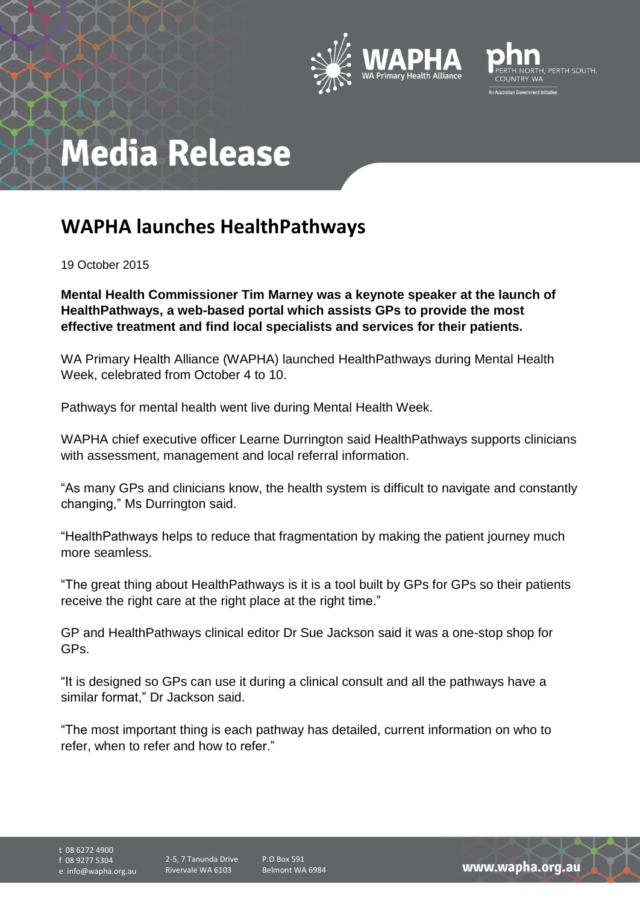



## **Media Release**

## **WAPHA launches HealthPathways**

19 October 2015

**Mental Health Commissioner Tim Marney was a keynote speaker at the launch of HealthPathways, a web-based portal which assists GPs to provide the most effective treatment and find local specialists and services for their patients.**

WA Primary Health Alliance (WAPHA) launched HealthPathways during Mental Health Week, celebrated from October 4 to 10.

Pathways for mental health went live during Mental Health Week.

WAPHA chief executive officer Learne Durrington said HealthPathways supports clinicians with assessment, management and local referral information.

"As many GPs and clinicians know, the health system is difficult to navigate and constantly changing," Ms Durrington said.

"HealthPathways helps to reduce that fragmentation by making the patient journey much more seamless.

"The great thing about HealthPathways is it is a tool built by GPs for GPs so their patients receive the right care at the right place at the right time."

GP and HealthPathways clinical editor Dr Sue Jackson said it was a one-stop shop for GPs.

"It is designed so GPs can use it during a clinical consult and all the pathways have a similar format," Dr Jackson said.

"The most important thing is each pathway has detailed, current information on who to refer, when to refer and how to refer."

t 08 6272 4900 f 08 9277 5304 e info@wapha.org.au

P.O Box 591 Belmont WA 6984

www.wapha.org.au